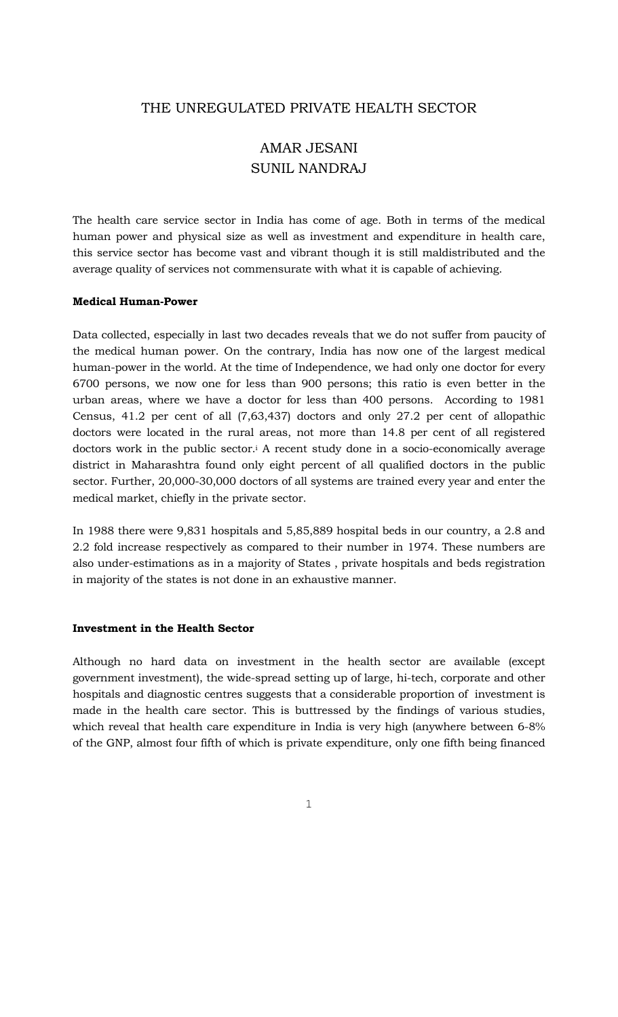# THE UNREGULATED PRIVATE HEALTH SECTOR

# AMAR JESANI SUNIL NANDRAJ

The health care service sector in India has come of age. Both in terms of the medical human power and physical size as well as investment and expenditure in health care, this service sector has become vast and vibrant though it is still maldistributed and the average quality of services not commensurate with what it is capable of achieving.

#### **Medical Human-Power**

Data collected, especially in last two decades reveals that we do not suffer from paucity of the medical human power. On the contrary, India has now one of the largest medical human-power in the world. At the time of Independence, we had only one doctor for every 6700 persons, we now one for less than 900 persons; this ratio is even better in the urban areas, where we have a doctor for less than 400 persons. According to 1981 Census, 41.2 per cent of all (7,63,437) doctors and only 27.2 per cent of allopathic doctors were located in the rural areas, not more than 14.8 per cent of all registered doctors work in the public sector.<sup>i</sup> A recent study done in a socio-economically average district in Maharashtra found only eight percent of all qualified doctors in the public sector. Further, 20,000-30,000 doctors of all systems are trained every year and enter the medical market, chiefly in the private sector.

In 1988 there were 9,831 hospitals and 5,85,889 hospital beds in our country, a 2.8 and 2.2 fold increase respectively as compared to their number in 1974. These numbers are also under-estimations as in a majority of States , private hospitals and beds registration in majority of the states is not done in an exhaustive manner.

#### **Investment in the Health Sector**

Although no hard data on investment in the health sector are available (except government investment), the wide-spread setting up of large, hi-tech, corporate and other hospitals and diagnostic centres suggests that a considerable proportion of investment is made in the health care sector. This is buttressed by the findings of various studies, which reveal that health care expenditure in India is very high (anywhere between 6-8% of the GNP, almost four fifth of which is private expenditure, only one fifth being financed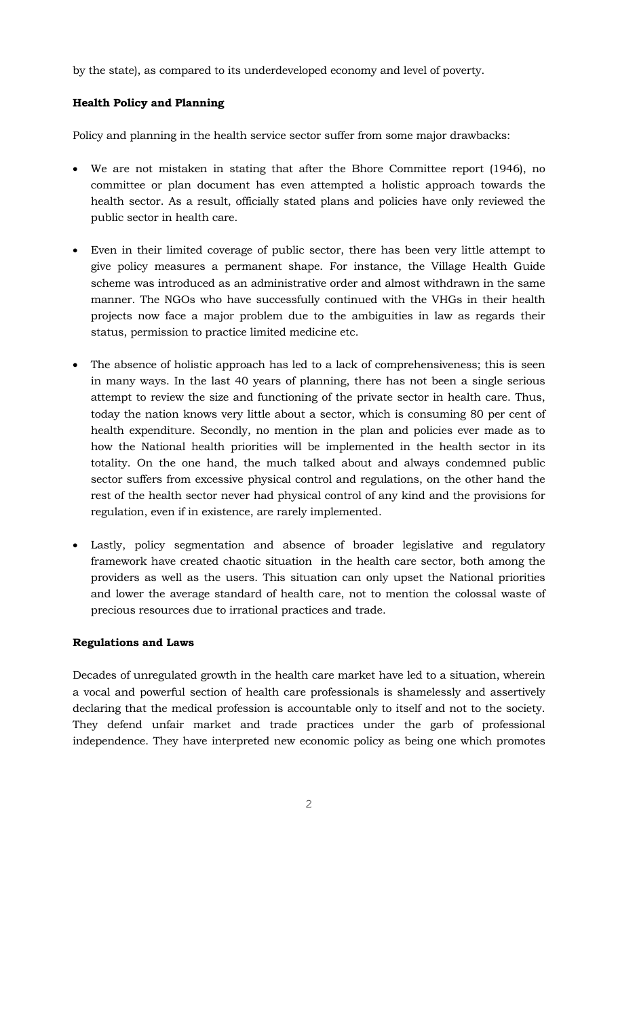by the state), as compared to its underdeveloped economy and level of poverty.

# **Health Policy and Planning**

Policy and planning in the health service sector suffer from some major drawbacks:

- We are not mistaken in stating that after the Bhore Committee report (1946), no committee or plan document has even attempted a holistic approach towards the health sector. As a result, officially stated plans and policies have only reviewed the public sector in health care.
- Even in their limited coverage of public sector, there has been very little attempt to give policy measures a permanent shape. For instance, the Village Health Guide scheme was introduced as an administrative order and almost withdrawn in the same manner. The NGOs who have successfully continued with the VHGs in their health projects now face a major problem due to the ambiguities in law as regards their status, permission to practice limited medicine etc.
- The absence of holistic approach has led to a lack of comprehensiveness; this is seen in many ways. In the last 40 years of planning, there has not been a single serious attempt to review the size and functioning of the private sector in health care. Thus, today the nation knows very little about a sector, which is consuming 80 per cent of health expenditure. Secondly, no mention in the plan and policies ever made as to how the National health priorities will be implemented in the health sector in its totality. On the one hand, the much talked about and always condemned public sector suffers from excessive physical control and regulations, on the other hand the rest of the health sector never had physical control of any kind and the provisions for regulation, even if in existence, are rarely implemented.
- Lastly, policy segmentation and absence of broader legislative and regulatory framework have created chaotic situation in the health care sector, both among the providers as well as the users. This situation can only upset the National priorities and lower the average standard of health care, not to mention the colossal waste of precious resources due to irrational practices and trade.

# **Regulations and Laws**

Decades of unregulated growth in the health care market have led to a situation, wherein a vocal and powerful section of health care professionals is shamelessly and assertively declaring that the medical profession is accountable only to itself and not to the society. They defend unfair market and trade practices under the garb of professional independence. They have interpreted new economic policy as being one which promotes

2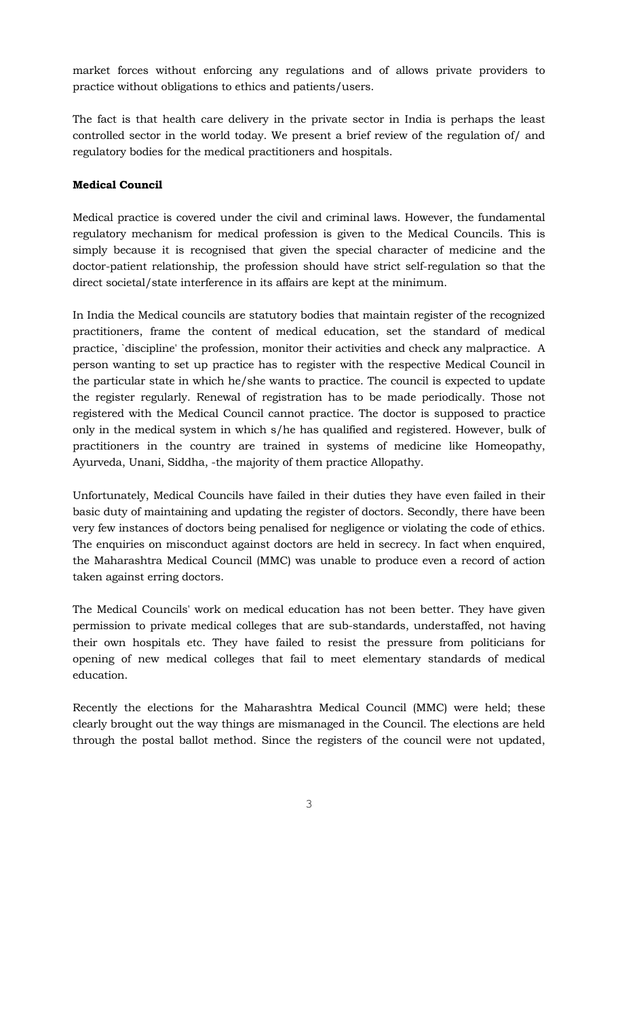market forces without enforcing any regulations and of allows private providers to practice without obligations to ethics and patients/users.

The fact is that health care delivery in the private sector in India is perhaps the least controlled sector in the world today. We present a brief review of the regulation of/ and regulatory bodies for the medical practitioners and hospitals.

## **Medical Council**

Medical practice is covered under the civil and criminal laws. However, the fundamental regulatory mechanism for medical profession is given to the Medical Councils. This is simply because it is recognised that given the special character of medicine and the doctor-patient relationship, the profession should have strict self-regulation so that the direct societal/state interference in its affairs are kept at the minimum.

In India the Medical councils are statutory bodies that maintain register of the recognized practitioners, frame the content of medical education, set the standard of medical practice, `discipline' the profession, monitor their activities and check any malpractice. A person wanting to set up practice has to register with the respective Medical Council in the particular state in which he/she wants to practice. The council is expected to update the register regularly. Renewal of registration has to be made periodically. Those not registered with the Medical Council cannot practice. The doctor is supposed to practice only in the medical system in which s/he has qualified and registered. However, bulk of practitioners in the country are trained in systems of medicine like Homeopathy, Ayurveda, Unani, Siddha, -the majority of them practice Allopathy.

Unfortunately, Medical Councils have failed in their duties they have even failed in their basic duty of maintaining and updating the register of doctors. Secondly, there have been very few instances of doctors being penalised for negligence or violating the code of ethics. The enquiries on misconduct against doctors are held in secrecy. In fact when enquired, the Maharashtra Medical Council (MMC) was unable to produce even a record of action taken against erring doctors.

The Medical Councils' work on medical education has not been better. They have given permission to private medical colleges that are sub-standards, understaffed, not having their own hospitals etc. They have failed to resist the pressure from politicians for opening of new medical colleges that fail to meet elementary standards of medical education.

Recently the elections for the Maharashtra Medical Council (MMC) were held; these clearly brought out the way things are mismanaged in the Council. The elections are held through the postal ballot method. Since the registers of the council were not updated,

3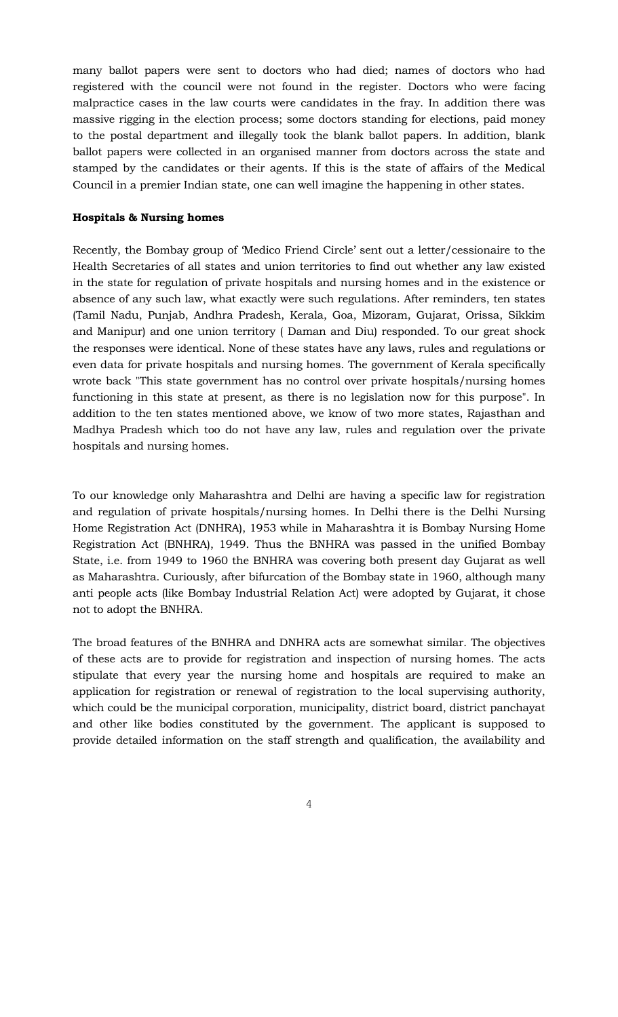many ballot papers were sent to doctors who had died; names of doctors who had registered with the council were not found in the register. Doctors who were facing malpractice cases in the law courts were candidates in the fray. In addition there was massive rigging in the election process; some doctors standing for elections, paid money to the postal department and illegally took the blank ballot papers. In addition, blank ballot papers were collected in an organised manner from doctors across the state and stamped by the candidates or their agents. If this is the state of affairs of the Medical Council in a premier Indian state, one can well imagine the happening in other states.

#### **Hospitals & Nursing homes**

Recently, the Bombay group of 'Medico Friend Circle' sent out a letter/cessionaire to the Health Secretaries of all states and union territories to find out whether any law existed in the state for regulation of private hospitals and nursing homes and in the existence or absence of any such law, what exactly were such regulations. After reminders, ten states (Tamil Nadu, Punjab, Andhra Pradesh, Kerala, Goa, Mizoram, Gujarat, Orissa, Sikkim and Manipur) and one union territory ( Daman and Diu) responded. To our great shock the responses were identical. None of these states have any laws, rules and regulations or even data for private hospitals and nursing homes. The government of Kerala specifically wrote back "This state government has no control over private hospitals/nursing homes functioning in this state at present, as there is no legislation now for this purpose". In addition to the ten states mentioned above, we know of two more states, Rajasthan and Madhya Pradesh which too do not have any law, rules and regulation over the private hospitals and nursing homes.

To our knowledge only Maharashtra and Delhi are having a specific law for registration and regulation of private hospitals/nursing homes. In Delhi there is the Delhi Nursing Home Registration Act (DNHRA), 1953 while in Maharashtra it is Bombay Nursing Home Registration Act (BNHRA), 1949. Thus the BNHRA was passed in the unified Bombay State, i.e. from 1949 to 1960 the BNHRA was covering both present day Gujarat as well as Maharashtra. Curiously, after bifurcation of the Bombay state in 1960, although many anti people acts (like Bombay Industrial Relation Act) were adopted by Gujarat, it chose not to adopt the BNHRA.

The broad features of the BNHRA and DNHRA acts are somewhat similar. The objectives of these acts are to provide for registration and inspection of nursing homes. The acts stipulate that every year the nursing home and hospitals are required to make an application for registration or renewal of registration to the local supervising authority, which could be the municipal corporation, municipality, district board, district panchayat and other like bodies constituted by the government. The applicant is supposed to provide detailed information on the staff strength and qualification, the availability and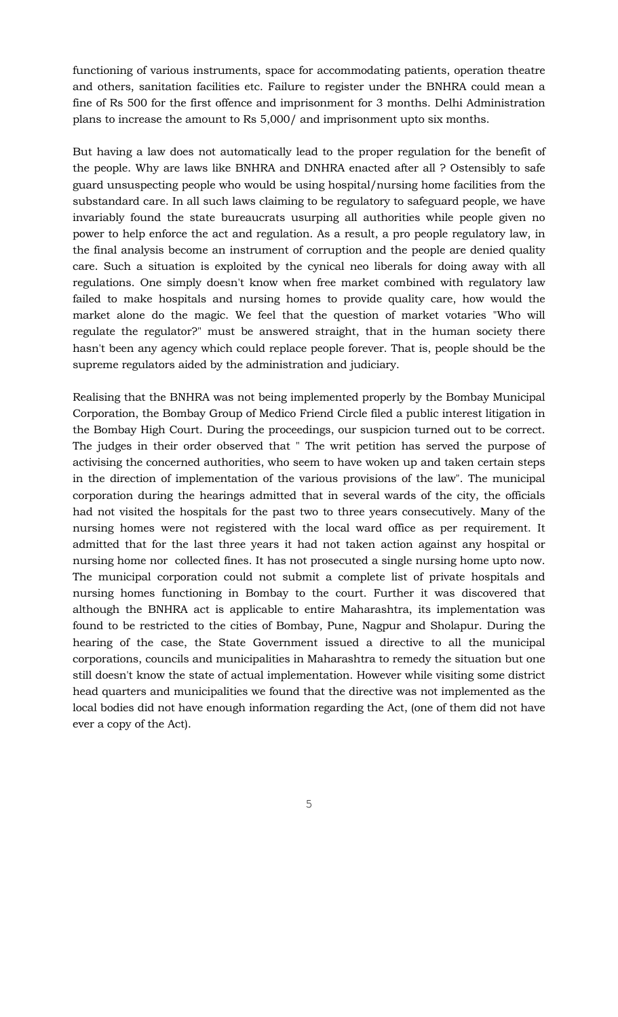functioning of various instruments, space for accommodating patients, operation theatre and others, sanitation facilities etc. Failure to register under the BNHRA could mean a fine of Rs 500 for the first offence and imprisonment for 3 months. Delhi Administration plans to increase the amount to Rs 5,000/ and imprisonment upto six months.

But having a law does not automatically lead to the proper regulation for the benefit of the people. Why are laws like BNHRA and DNHRA enacted after all ? Ostensibly to safe guard unsuspecting people who would be using hospital/nursing home facilities from the substandard care. In all such laws claiming to be regulatory to safeguard people, we have invariably found the state bureaucrats usurping all authorities while people given no power to help enforce the act and regulation. As a result, a pro people regulatory law, in the final analysis become an instrument of corruption and the people are denied quality care. Such a situation is exploited by the cynical neo liberals for doing away with all regulations. One simply doesn't know when free market combined with regulatory law failed to make hospitals and nursing homes to provide quality care, how would the market alone do the magic. We feel that the question of market votaries "Who will regulate the regulator?" must be answered straight, that in the human society there hasn't been any agency which could replace people forever. That is, people should be the supreme regulators aided by the administration and judiciary.

Realising that the BNHRA was not being implemented properly by the Bombay Municipal Corporation, the Bombay Group of Medico Friend Circle filed a public interest litigation in the Bombay High Court. During the proceedings, our suspicion turned out to be correct. The judges in their order observed that " The writ petition has served the purpose of activising the concerned authorities, who seem to have woken up and taken certain steps in the direction of implementation of the various provisions of the law". The municipal corporation during the hearings admitted that in several wards of the city, the officials had not visited the hospitals for the past two to three years consecutively. Many of the nursing homes were not registered with the local ward office as per requirement. It admitted that for the last three years it had not taken action against any hospital or nursing home nor collected fines. It has not prosecuted a single nursing home upto now. The municipal corporation could not submit a complete list of private hospitals and nursing homes functioning in Bombay to the court. Further it was discovered that although the BNHRA act is applicable to entire Maharashtra, its implementation was found to be restricted to the cities of Bombay, Pune, Nagpur and Sholapur. During the hearing of the case, the State Government issued a directive to all the municipal corporations, councils and municipalities in Maharashtra to remedy the situation but one still doesn't know the state of actual implementation. However while visiting some district head quarters and municipalities we found that the directive was not implemented as the local bodies did not have enough information regarding the Act, (one of them did not have ever a copy of the Act).

 $5<sub>5</sub>$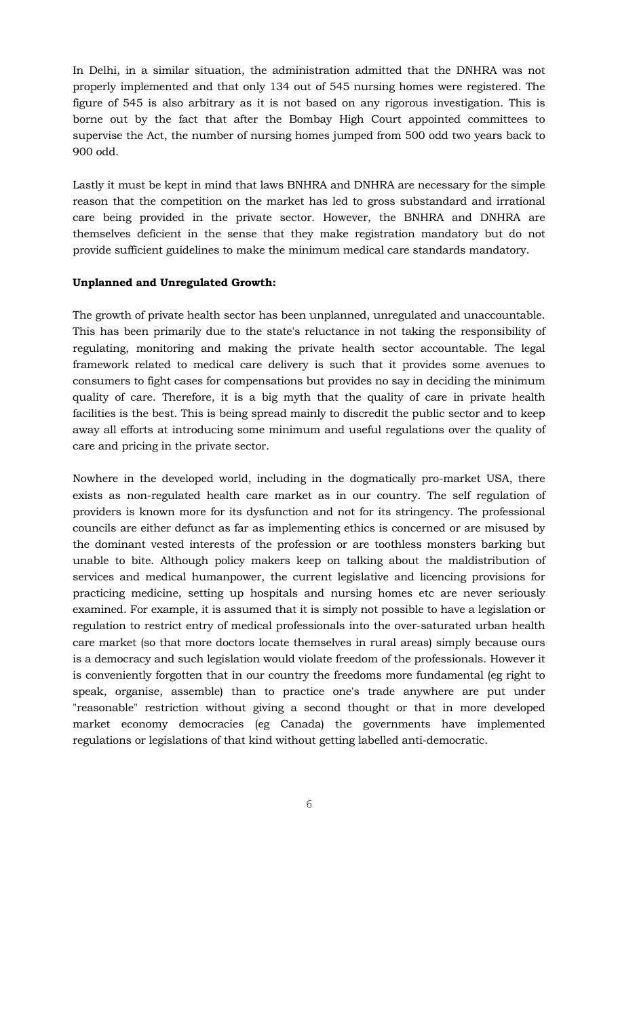In Delhi, in a similar situation, the administration admitted that the DNHRA was not properly implemented and that only 134 out of 545 nursing homes were registered. The figure of 545 is also arbitrary as it is not based on any rigorous investigation. This is borne out by the fact that after the Bombay High Court appointed committees to supervise the Act, the number of nursing homes jumped from 500 odd two years back to 900 odd.

Lastly it must be kept in mind that laws BNHRA and DNHRA are necessary for the simple reason that the competition on the market has led to gross substandard and irrational care being provided in the private sector. However, the BNHRA and DNHRA are themselves deficient in the sense that they make registration mandatory but do not provide sufficient guidelines to make the minimum medical care standards mandatory.

### **Unplanned and Unregulated Growth:**

The growth of private health sector has been unplanned, unregulated and unaccountable. This has been primarily due to the state's reluctance in not taking the responsibility of regulating, monitoring and making the private health sector accountable. The legal framework related to medical care delivery is such that it provides some avenues to consumers to fight cases for compensations but provides no say in deciding the minimum quality of care. Therefore, it is a big myth that the quality of care in private health facilities is the best. This is being spread mainly to discredit the public sector and to keep away all efforts at introducing some minimum and useful regulations over the quality of care and pricing in the private sector.

Nowhere in the developed world, including in the dogmatically pro-market USA, there exists as non-regulated health care market as in our country. The self regulation of providers is known more for its dysfunction and not for its stringency. The professional councils are either defunct as far as implementing ethics is concerned or are misused by the dominant vested interests of the profession or are toothless monsters barking but unable to bite. Although policy makers keep on talking about the maldistribution of services and medical humanpower, the current legislative and licencing provisions for practicing medicine, setting up hospitals and nursing homes etc are never seriously examined. For example, it is assumed that it is simply not possible to have a legislation or regulation to restrict entry of medical professionals into the over-saturated urban health care market (so that more doctors locate themselves in rural areas) simply because ours is a democracy and such legislation would violate freedom of the professionals. However it is conveniently forgotten that in our country the freedoms more fundamental (eg right to speak, organise, assemble) than to practice one's trade anywhere are put under "reasonable" restriction without giving a second thought or that in more developed market economy democracies (eg Canada) the governments have implemented regulations or legislations of that kind without getting labelled anti-democratic.

 $\sim$  6